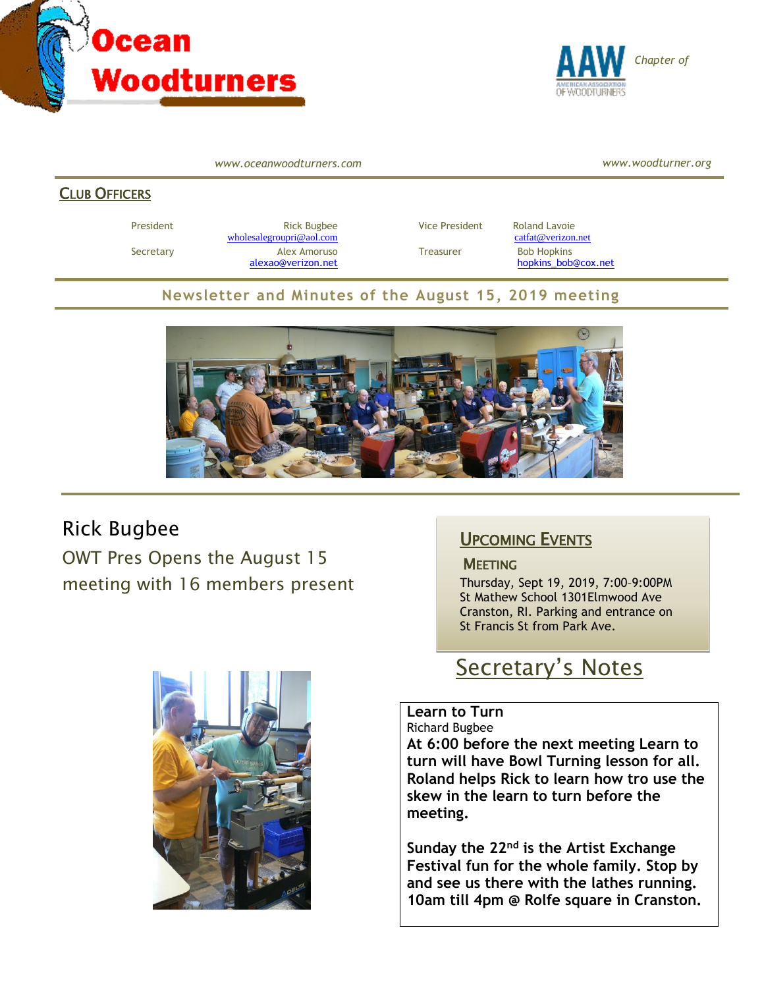



*www.oceanwoodturners.com*

*www.woodturner.org*

#### CLUB OFFICERS

President Rick Bugbee Rick Bugbee Vice President Roland Lavoie Catfat (2011)<br>
<u>molesalegroupri@aol.com</u> Catfat (2012) Marsh 2015 Catfat (2012) Marsh 2016 Catfat (2012) Marsh 2016 Catfat (2013) Marsh 2016 Catfat (2014) Mars  $wholealegroupri@aol.com$ Secretary **Alex Amoruso** Treasurer Bob Hopkins [alexao@verizon.net](mailto:alexao@verizon.net) [hopkins\\_bob@cox.net](mailto:hopkins_bob@cox.net)

#### **Newsletter and Minutes of the August 15, 2019 meeting**



## Rick Bugbee

OWT Pres Opens the August 15 meeting with 16 members present



### UPCOMING EVENTS

#### **MEETING**

Thursday, Sept 19, 2019, 7:00–9:00PM St Mathew School 1301Elmwood Ave Cranston, RI. Parking and entrance on St Francis St from Park Ave.

# Secretary's Notes

#### **Learn to Turn**

Richard Bugbee

**At 6:00 before the next meeting Learn to turn will have Bowl Turning lesson for all. Roland helps Rick to learn how tro use the skew in the learn to turn before the meeting.**

**Sunday the 22nd is the Artist Exchange Festival fun for the whole family. Stop by and see us there with the lathes running. 10am till 4pm @ Rolfe square in Cranston.**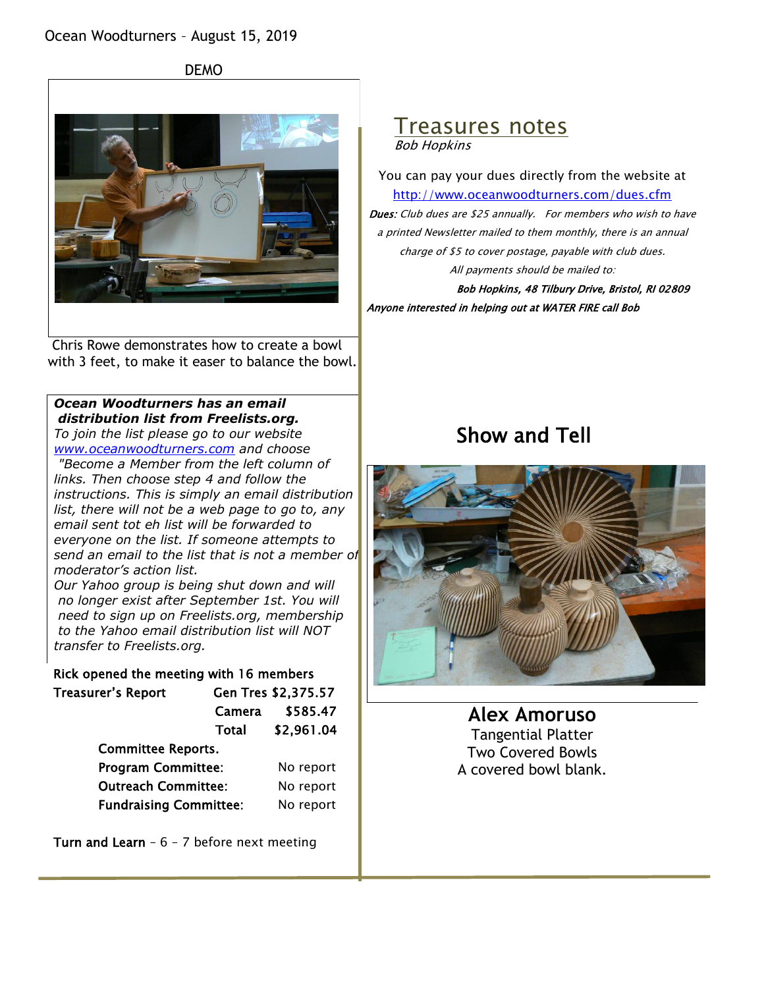DEMO



Chris Rowe demonstrates how to create a bowl with 3 feet, to make it easer to balance the bowl.

#### *Ocean Woodturners has an email distribution list from Freelists.org.*

*To join the list please go to our website [www.oceanwoodturners.com](http://www.oceanwoodturners.com/) and choose*

*"Become a Member from the left column of links. Then choose step 4 and follow the instructions. This is simply an email distribution list, there will not be a web page to go to, any email sent tot eh list will be forwarded to everyone on the list. If someone attempts to*  send an email to the list that is not a member of *moderator's action list.*

*Our Yahoo group is being shut down and will no longer exist after September 1st. You will need to sign up on Freelists.org, membership to the Yahoo email distribution list will NOT transfer to Freelists.org.*

#### Rick opened the meeting with 16 members

| Treasurer's Report            |        | Gen Tres \$2,375.57 |
|-------------------------------|--------|---------------------|
|                               | Camera | \$585.47            |
|                               | Total  | \$2,961.04          |
| <b>Committee Reports.</b>     |        |                     |
| <b>Program Committee:</b>     |        | No report           |
| <b>Outreach Committee:</b>    |        | No report           |
| <b>Fundraising Committee:</b> |        | No report           |
|                               |        |                     |

Turn and Learn  $-6 - 7$  before next meeting

#### Treasures notes Bob Hopkins

You can pay your dues directly from the website at <http://www.oceanwoodturners.com/dues.cfm> Dues: Club dues are \$25 annually. For members who wish to have a printed Newsletter mailed to them monthly, there is an annual charge of \$5 to cover postage, payable with club dues. All payments should be mailed to:

Bob Hopkins, 48 Tilbury Drive, Bristol, RI 02809 Anyone interested in helping out at WATER FIRE call Bob

## Show and Tell



**Alex Amoruso** Tangential Platter Two Covered Bowls A covered bowl blank.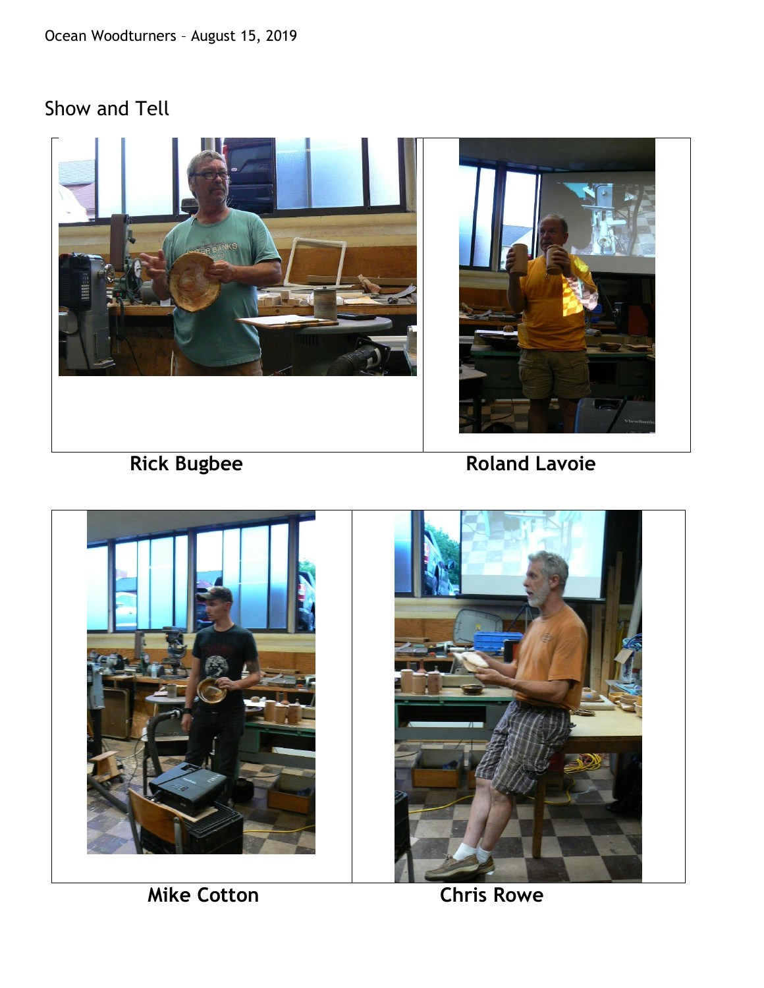# Show and Tell





**Mike Cotton Chris Rowe**